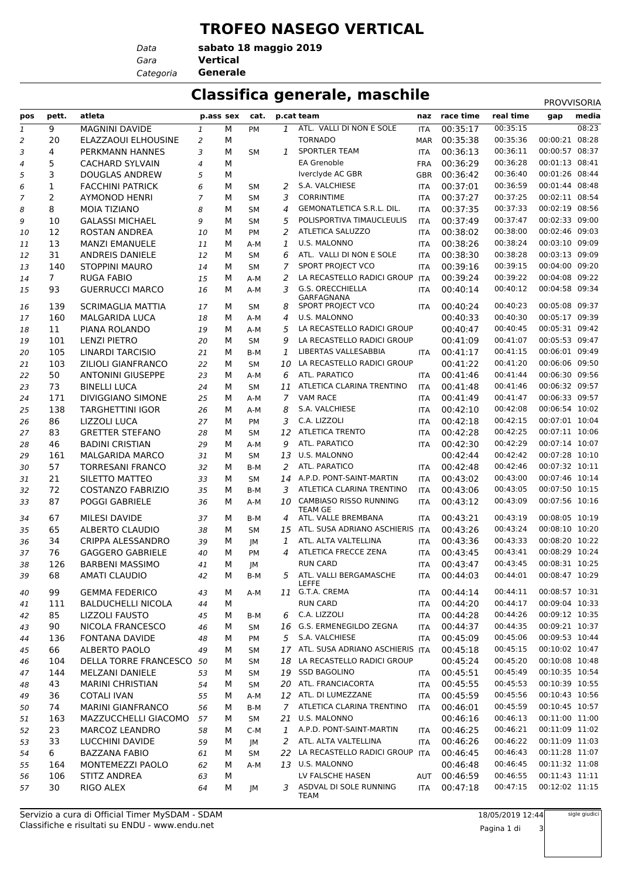## **TROFEO NASEGO VERTICAL**

*Data Categoria* **Generale**

*Gara* **Vertical sabato 18 maggio 2019**

## **Classifica generale, maschile** PROVISORIA

|                |                |                           |                |   |             |              |                                       |            |           |           | <b>.</b>       |       |
|----------------|----------------|---------------------------|----------------|---|-------------|--------------|---------------------------------------|------------|-----------|-----------|----------------|-------|
| pos            | pett.          | atleta                    | p.ass sex      |   | cat.        |              | p.cat team                            | naz        | race time | real time | gap            | media |
| 1              | 9              | <b>MAGNINI DAVIDE</b>     | 1              | М | <b>PM</b>   | $\mathbf{1}$ | ATL. VALLI DI NON E SOLE              | <b>ITA</b> | 00:35:17  | 00:35:15  |                | 08:23 |
| 2              | 20             | ELAZZAOUI ELHOUSINE       | $\overline{a}$ | М |             |              | <b>TORNADO</b>                        | <b>MAR</b> | 00:35:38  | 00:35:36  | 00:00:21       | 08:28 |
| 3              | 4              | PERKMANN HANNES           | 3              | М | <b>SM</b>   | $\mathbf{1}$ | <b>SPORTLER TEAM</b>                  | <b>ITA</b> | 00:36:13  | 00:36:11  | 00:00:57 08:37 |       |
| $\overline{4}$ | 5              | <b>CACHARD SYLVAIN</b>    | $\overline{4}$ | М |             |              | <b>EA Grenoble</b>                    | <b>FRA</b> | 00:36:29  | 00:36:28  | 00:01:13 08:41 |       |
| 5              | 3              | <b>DOUGLAS ANDREW</b>     | 5              | М |             |              | Iverclyde AC GBR                      | <b>GBR</b> | 00:36:42  | 00:36:40  | 00:01:26       | 08:44 |
| 6              | 1              | <b>FACCHINI PATRICK</b>   | 6              | М | SМ          | 2            | S.A. VALCHIESE                        | <b>ITA</b> | 00:37:01  | 00:36:59  | 00:01:44 08:48 |       |
| 7              | $\overline{2}$ | <b>AYMONOD HENRI</b>      | $\overline{7}$ | М | <b>SM</b>   | 3            | <b>CORRINTIME</b>                     | <b>ITA</b> | 00:37:27  | 00:37:25  | 00:02:11 08:54 |       |
| 8              | 8              | <b>MOIA TIZIANO</b>       | 8              | М | <b>SM</b>   | 4            | GEMONATLETICA S.R.L. DIL.             | <b>ITA</b> | 00:37:35  | 00:37:33  | 00:02:19 08:56 |       |
| 9              | 10             | <b>GALASSI MICHAEL</b>    | 9              | М | <b>SM</b>   | 5            | POLISPORTIVA TIMAUCLEULIS             | <b>ITA</b> | 00:37:49  | 00:37:47  | 00:02:33 09:00 |       |
| 10             | 12             | <b>ROSTAN ANDREA</b>      | 10             | М | <b>PM</b>   | 2            | ATLETICA SALUZZO                      | <b>ITA</b> | 00:38:02  | 00:38:00  | 00:02:46 09:03 |       |
| 11             | 13             | <b>MANZI EMANUELE</b>     | 11             | м | A-M         | 1            | U.S. MALONNO                          | <b>ITA</b> | 00:38:26  | 00:38:24  | 00:03:10 09:09 |       |
| 12             | 31             | ANDREIS DANIELE           | 12             | м | SМ          | 6            | ATL. VALLI DI NON E SOLE              | <b>ITA</b> | 00:38:30  | 00:38:28  | 00:03:13 09:09 |       |
| 13             | 140            | <b>STOPPINI MAURO</b>     | 14             | М | <b>SM</b>   | 7            | SPORT PROJECT VCO                     | <b>ITA</b> | 00:39:16  | 00:39:15  | 00:04:00 09:20 |       |
| 14             | $\overline{7}$ | <b>RUGA FABIO</b>         | 15             | м | A-M         | 2            | LA RECASTELLO RADICI GROUP            | <b>ITA</b> | 00:39:24  | 00:39:22  | 00:04:08 09:22 |       |
| 15             | 93             | <b>GUERRUCCI MARCO</b>    | 16             | М | A-M         | 3            | G.S. ORECCHIELLA                      | <b>ITA</b> | 00:40:14  | 00:40:12  | 00:04:58 09:34 |       |
|                |                |                           |                |   |             |              | GARFAGNANA                            |            |           | 00:40:23  | 00:05:08 09:37 |       |
| 16             | 139            | <b>SCRIMAGLIA MATTIA</b>  | 17             | м | <b>SM</b>   | 8            | SPORT PROJECT VCO                     | <b>ITA</b> | 00:40:24  |           |                |       |
| 17             | 160            | <b>MALGARIDA LUCA</b>     | 18             | М | A-M         | 4            | U.S. MALONNO                          |            | 00:40:33  | 00:40:30  | 00:05:17 09:39 |       |
| 18             | 11             | PIANA ROLANDO             | 19             | м | A-M         | 5            | LA RECASTELLO RADICI GROUP            |            | 00:40:47  | 00:40:45  | 00:05:31 09:42 |       |
| 19             | 101            | <b>LENZI PIETRO</b>       | 20             | м | <b>SM</b>   | 9            | LA RECASTELLO RADICI GROUP            |            | 00:41:09  | 00:41:07  | 00:05:53 09:47 |       |
| 20             | 105            | <b>LINARDI TARCISIO</b>   | 21             | М | B-M         | 1            | LIBERTAS VALLESABBIA                  | <b>ITA</b> | 00:41:17  | 00:41:15  | 00:06:01 09:49 |       |
| 21             | 103            | ZILIOLI GIANFRANCO        | 22             | М | <b>SM</b>   | 10           | LA RECASTELLO RADICI GROUP            |            | 00:41:22  | 00:41:20  | 00:06:06 09:50 |       |
| 22             | 50             | <b>ANTONINI GIUSEPPE</b>  | 23             | м | A-M         | 6            | ATL. PARATICO                         | <b>ITA</b> | 00:41:46  | 00:41:44  | 00:06:30 09:56 |       |
| 23             | 73             | <b>BINELLI LUCA</b>       | 24             | м | SМ          | 11           | ATLETICA CLARINA TRENTINO             | <b>ITA</b> | 00:41:48  | 00:41:46  | 00:06:32 09:57 |       |
| 24             | 171            | <b>DIVIGGIANO SIMONE</b>  | 25             | м | A-M         | 7            | <b>VAM RACE</b>                       | <b>ITA</b> | 00:41:49  | 00:41:47  | 00:06:33 09:57 |       |
| 25             | 138            | <b>TARGHETTINI IGOR</b>   | 26             | м | A-M         | 8            | S.A. VALCHIESE                        | <b>ITA</b> | 00:42:10  | 00:42:08  | 00:06:54 10:02 |       |
| 26             | 86             | LIZZOLI LUCA              | 27             | М | PM          | 3            | C.A. LIZZOLI                          | <b>ITA</b> | 00:42:18  | 00:42:15  | 00:07:01 10:04 |       |
| 27             | 83             | <b>GRETTER STEFANO</b>    | 28             | М | <b>SM</b>   | 12           | <b>ATLETICA TRENTO</b>                | <b>ITA</b> | 00:42:28  | 00:42:25  | 00:07:11 10:06 |       |
| 28             | 46             | <b>BADINI CRISTIAN</b>    | 29             | м | A-M         | 9            | ATL. PARATICO                         | <b>ITA</b> | 00:42:30  | 00:42:29  | 00:07:14 10:07 |       |
| 29             | 161            | <b>MALGARIDA MARCO</b>    | 31             | м | SМ          | 13           | U.S. MALONNO                          |            | 00:42:44  | 00:42:42  | 00:07:28 10:10 |       |
| 30             | 57             | <b>TORRESANI FRANCO</b>   | 32             | м | B-M         | 2            | ATL. PARATICO                         | <b>ITA</b> | 00:42:48  | 00:42:46  | 00:07:32 10:11 |       |
| 31             | 21             | SILETTO MATTEO            | 33             | м | <b>SM</b>   | 14           | A.P.D. PONT-SAINT-MARTIN              | <b>ITA</b> | 00:43:02  | 00:43:00  | 00:07:46 10:14 |       |
| 32             | 72             | <b>COSTANZO FABRIZIO</b>  | 35             | М | B-M         | 3            | ATLETICA CLARINA TRENTINO             | <b>ITA</b> | 00:43:06  | 00:43:05  | 00:07:50 10:15 |       |
| 33             | 87             | <b>POGGI GABRIELE</b>     | 36             | М | A-M         | 10           | CAMBIASO RISSO RUNNING                | <b>ITA</b> | 00:43:12  | 00:43:09  | 00:07:56 10:16 |       |
| 34             | 67             | <b>MILESI DAVIDE</b>      | 37             | М | B-M         | 4            | <b>TEAM GE</b><br>ATL. VALLE BREMBANA | <b>ITA</b> | 00:43:21  | 00:43:19  | 00:08:05 10:19 |       |
| 35             | 65             | ALBERTO CLAUDIO           | 38             | М | <b>SM</b>   | 15           | ATL. SUSA ADRIANO ASCHIERIS ITA       |            | 00:43:26  | 00:43:24  | 00:08:10 10:20 |       |
| 36             | 34             | CRIPPA ALESSANDRO         | 39             | М |             | 1            | ATL. ALTA VALTELLINA                  | <b>ITA</b> | 00:43:36  | 00:43:33  | 00:08:20 10:22 |       |
| 37             | 76             | <b>GAGGERO GABRIELE</b>   | 40             | М | JМ<br>PM    | 4            | ATLETICA FRECCE ZENA                  | <b>ITA</b> | 00:43:45  | 00:43:41  | 00:08:29 10:24 |       |
|                | 126            | BARBENI MASSIMO           | 41             | М |             |              | <b>RUN CARD</b>                       | <b>ITA</b> | 00:43:47  | 00:43:45  | 00:08:31 10:25 |       |
| 38<br>39       | 68             | <b>AMATI CLAUDIO</b>      | 42             |   | JМ<br>$B-M$ | 5            | ATL. VALLI BERGAMASCHE                |            |           | 00:44:01  | 00:08:47 10:29 |       |
|                |                |                           |                | М |             |              | <b>LEFFE</b>                          | ITA        | 00:44:03  |           |                |       |
| 40             | 99             | <b>GEMMA FEDERICO</b>     | 43             | М | A-M         |              | 11 G.T.A. CREMA                       | <b>ITA</b> | 00:44:14  | 00:44:11  | 00:08:57 10:31 |       |
| 41             | 111            | <b>BALDUCHELLI NICOLA</b> | 44             | М |             |              | <b>RUN CARD</b>                       | ITA        | 00:44:20  | 00:44:17  | 00:09:04 10:33 |       |
| 42             | 85             | <b>LIZZOLI FAUSTO</b>     | 45             | м | B-M         | 6            | C.A. LIZZOLI                          | <b>ITA</b> | 00:44:28  | 00:44:26  | 00:09:12 10:35 |       |
| 43             | 90             | NICOLA FRANCESCO          | 46             | м | SM          |              | 16 G.S. ERMENEGILDO ZEGNA             | <b>ITA</b> | 00:44:37  | 00:44:35  | 00:09:21 10:37 |       |
| 44             | 136            | <b>FONTANA DAVIDE</b>     | 48             | м | PM          |              | 5 S.A. VALCHIESE                      | <b>ITA</b> | 00:45:09  | 00:45:06  | 00:09:53 10:44 |       |
| 45             | 66             | ALBERTO PAOLO             | 49             | М | SМ          |              | 17 ATL. SUSA ADRIANO ASCHIERIS ITA    |            | 00:45:18  | 00:45:15  | 00:10:02 10:47 |       |
| 46             | 104            | DELLA TORRE FRANCESCO 50  |                | м | SМ          | 18           | LA RECASTELLO RADICI GROUP            |            | 00:45:24  | 00:45:20  | 00:10:08 10:48 |       |
| 47             | 144            | MELZANI DANIELE           | 53             | м | SM          |              | 19 SSD BAGOLINO                       | ITA        | 00:45:51  | 00:45:49  | 00:10:35 10:54 |       |
| 48             | 43             | <b>MARINI CHRISTIAN</b>   | 54             | м | SM          |              | 20 ATL. FRANCIACORTA                  | ITA        | 00:45:55  | 00:45:53  | 00:10:39 10:55 |       |
| 49             | 36             | <b>COTALI IVAN</b>        | 55             | м | A-M         |              | 12 ATL. DI LUMEZZANE                  | <b>ITA</b> | 00:45:59  | 00:45:56  | 00:10:43 10:56 |       |
| 50             | 74             | <b>MARINI GIANFRANCO</b>  | 56             | м | B-M         | $7^{\circ}$  | ATLETICA CLARINA TRENTINO             | <b>ITA</b> | 00:46:01  | 00:45:59  | 00:10:45 10:57 |       |
| 51             | 163            | MAZZUCCHELLI GIACOMO      | 57             | м | SM          | 21           | U.S. MALONNO                          |            | 00:46:16  | 00:46:13  | 00:11:00 11:00 |       |
| 52             | 23             | MARCOZ LEANDRO            | 58             | м | C-M         | $\mathbf{1}$ | A.P.D. PONT-SAINT-MARTIN              | <b>ITA</b> | 00:46:25  | 00:46:21  | 00:11:09 11:02 |       |
| 53             | 33             | LUCCHINI DAVIDE           | 59             | М | JM          | 2            | ATL. ALTA VALTELLINA                  | <b>ITA</b> | 00:46:26  | 00:46:22  | 00:11:09 11:03 |       |
| 54             | 6              | <b>BAZZANA FABIO</b>      | 61             | М | SM          | 22           | LA RECASTELLO RADICI GROUP ITA        |            | 00:46:45  | 00:46:43  | 00:11:28 11:07 |       |
| 55             | 164            | MONTEMEZZI PAOLO          | 62             | м | A-M         |              | 13 U.S. MALONNO                       |            | 00:46:48  | 00:46:45  | 00:11:32 11:08 |       |
| 56             | 106            | STITZ ANDREA              | 63             | М |             |              | LV FALSCHE HASEN                      | AUT        | 00:46:59  | 00:46:55  | 00:11:43 11:11 |       |
| 57             | 30             | RIGO ALEX                 | 64             | м | JM          |              | 3 ASDVAL DI SOLE RUNNING              | ITA        | 00:47:18  | 00:47:15  | 00:12:02 11:15 |       |
|                |                |                           |                |   |             |              | TEAM                                  |            |           |           |                |       |

Classifiche e risultati su ENDU - www.endu.net Servizio a cura di Official Timer MySDAM - SDAM

sigle giudici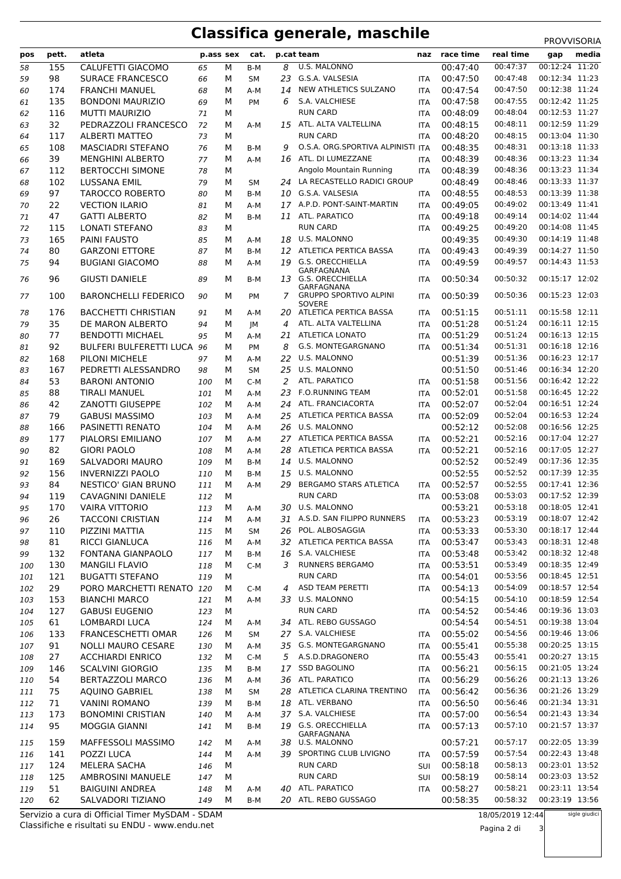## **Classifica generale, maschile** PROVVISORIA

| pos | pett. | atleta                      | p.ass sex |   | cat.      | p.cat team |                                   |            | race time | real time | gap            | media |
|-----|-------|-----------------------------|-----------|---|-----------|------------|-----------------------------------|------------|-----------|-----------|----------------|-------|
| 58  | 155   | CALUFETTI GIACOMO           | 65        | М | B-M       | 8          | U.S. MALONNO                      |            | 00:47:40  | 00:47:37  | 00:12:24 11:20 |       |
| 59  | 98    | <b>SURACE FRANCESCO</b>     | 66        | М | SM        | 23         | G.S.A. VALSESIA                   | <b>ITA</b> | 00:47:50  | 00:47:48  | 00:12:34 11:23 |       |
| 60  | 174   | <b>FRANCHI MANUEL</b>       | 68        | М | $A-M$     | 14         | NEW ATHLETICS SULZANO             | <b>ITA</b> | 00:47:54  | 00:47:50  | 00:12:38 11:24 |       |
| 61  | 135   | <b>BONDONI MAURIZIO</b>     | 69        | М | PM        | 6          | S.A. VALCHIESE                    | <b>ITA</b> | 00:47:58  | 00:47:55  | 00:12:42 11:25 |       |
| 62  | 116   | <b>MUTTI MAURIZIO</b>       | 71        | М |           |            | <b>RUN CARD</b>                   | <b>ITA</b> | 00:48:09  | 00:48:04  | 00:12:53 11:27 |       |
| 63  | 32    | PEDRAZZOLI FRANCESCO        | 72        | М | $A-M$     | 15         | ATL. ALTA VALTELLINA              | <b>ITA</b> | 00:48:15  | 00:48:11  | 00:12:59 11:29 |       |
| 64  | 117   | <b>ALBERTI MATTEO</b>       | 73        | М |           |            | <b>RUN CARD</b>                   | ITA        | 00:48:20  | 00:48:15  | 00:13:04 11:30 |       |
| 65  | 108   | <b>MASCIADRI STEFANO</b>    | 76        | М | B-M       | 9          | O.S.A. ORG.SPORTIVA ALPINISTI ITA |            | 00:48:35  | 00:48:31  | 00:13:18 11:33 |       |
| 66  | 39    | <b>MENGHINI ALBERTO</b>     | 77        | М | $A-M$     |            | 16 ATL. DI LUMEZZANE              | <b>ITA</b> | 00:48:39  | 00:48:36  | 00:13:23 11:34 |       |
| 67  | 112   | <b>BERTOCCHI SIMONE</b>     | 78        | М |           |            | Angolo Mountain Running           | <b>ITA</b> | 00:48:39  | 00:48:36  | 00:13:23 11:34 |       |
| 68  | 102   | <b>LUSSANA EMIL</b>         | 79        | М | SM        |            | 24 LA RECASTELLO RADICI GROUP     |            | 00:48:49  | 00:48:46  | 00:13:33 11:37 |       |
| 69  | 97    | <b>TAROCCO ROBERTO</b>      | 80        | м | B-M       | 10         | G.S.A. VALSESIA                   | <b>ITA</b> | 00:48:55  | 00:48:53  | 00:13:39 11:38 |       |
| 70  | 22    | <b>VECTION ILARIO</b>       | 81        | м | A-M       |            | 17 A.P.D. PONT-SAINT-MARTIN       | <b>ITA</b> | 00:49:05  | 00:49:02  | 00:13:49 11:41 |       |
| 71  | 47    | <b>GATTI ALBERTO</b>        | 82        | М | B-M       |            | 11 ATL. PARATICO                  | ITA        | 00:49:18  | 00:49:14  | 00:14:02 11:44 |       |
| 72  | 115   | <b>LONATI STEFANO</b>       | 83        | М |           |            | <b>RUN CARD</b>                   | <b>ITA</b> | 00:49:25  | 00:49:20  | 00:14:08 11:45 |       |
| 73  | 165   | <b>PAINI FAUSTO</b>         | 85        | М | A-M       | 18         | U.S. MALONNO                      |            | 00:49:35  | 00:49:30  | 00:14:19 11:48 |       |
| 74  | 80    | <b>GARZONI ETTORE</b>       | 87        | М | B-M       | 12         | ATLETICA PERTICA BASSA            | <b>ITA</b> | 00:49:43  | 00:49:39  | 00:14:27 11:50 |       |
| 75  | 94    | <b>BUGIANI GIACOMO</b>      | 88        | м | A-M       | 19         | <b>G.S. ORECCHIELLA</b>           | <b>ITA</b> | 00:49:59  | 00:49:57  | 00:14:43 11:53 |       |
|     |       |                             |           |   |           |            | GARFAGNANA                        |            |           |           |                |       |
| 76  | 96    | <b>GIUSTI DANIELE</b>       | 89        | М | B-M       |            | 13 G.S. ORECCHIELLA<br>GARFAGNANA | <b>ITA</b> | 00:50:34  | 00:50:32  | 00:15:17 12:02 |       |
| 77  | 100   | <b>BARONCHELLI FEDERICO</b> | 90        | м | <b>PM</b> | 7          | <b>GRUPPO SPORTIVO ALPINI</b>     | <b>ITA</b> | 00:50:39  | 00:50:36  | 00:15:23 12:03 |       |
|     |       |                             |           |   |           |            | SOVERE                            |            |           |           |                |       |
| 78  | 176   | <b>BACCHETTI CHRISTIAN</b>  | 91        | М | A-M       | 20         | ATLETICA PERTICA BASSA            | <b>ITA</b> | 00:51:15  | 00:51:11  | 00:15:58 12:11 |       |
| 79  | 35    | DE MARON ALBERTO            | 94        | М | JМ        | 4          | ATL. ALTA VALTELLINA              | ITA        | 00:51:28  | 00:51:24  | 00:16:11 12:15 |       |
| 80  | 77    | <b>BENDOTTI MICHAEL</b>     | 95        | М | A-M       | 21         | <b>ATLETICA LONATO</b>            | <b>ITA</b> | 00:51:29  | 00:51:24  | 00:16:13 12:15 |       |
| 81  | 92    | BULFERI BULFERETTI LUCA 96  |           | м | PM        | 8          | G.S. MONTEGARGNANO                | ITA        | 00:51:34  | 00:51:31  | 00:16:18 12:16 |       |
| 82  | 168   | PILONI MICHELE              | 97        | М | A-M       | 22         | U.S. MALONNO                      |            | 00:51:39  | 00:51:36  | 00:16:23 12:17 |       |
| 83  | 167   | PEDRETTI ALESSANDRO         | 98        | М | <b>SM</b> | 25         | U.S. MALONNO                      |            | 00:51:50  | 00:51:46  | 00:16:34 12:20 |       |
| 84  | 53    | <b>BARONI ANTONIO</b>       | 100       | м | $C-M$     | 2          | ATL. PARATICO                     | <b>ITA</b> | 00:51:58  | 00:51:56  | 00:16:42 12:22 |       |
| 85  | 88    | <b>TIRALI MANUEL</b>        | 101       | м | A-M       | 23         | <b>F.O.RUNNING TEAM</b>           | <b>ITA</b> | 00:52:01  | 00:51:58  | 00:16:45 12:22 |       |
| 86  | 42    | <b>ZANOTTI GIUSEPPE</b>     | 102       | М | $A-M$     | 24         | ATL. FRANCIACORTA                 | <b>ITA</b> | 00:52:07  | 00:52:04  | 00:16:51 12:24 |       |
| 87  | 79    | <b>GABUSI MASSIMO</b>       | 103       | М | $A-M$     | 25         | ATLETICA PERTICA BASSA            | ITA        | 00:52:09  | 00:52:04  | 00:16:53 12:24 |       |
| 88  | 166   | PASINETTI RENATO            | 104       | м | $A-M$     | 26         | U.S. MALONNO                      |            | 00:52:12  | 00:52:08  | 00:16:56 12:25 |       |
| 89  | 177   | PIALORSI EMILIANO           | 107       | М | $A-M$     | 27         | ATLETICA PERTICA BASSA            | <b>ITA</b> | 00:52:21  | 00:52:16  | 00:17:04 12:27 |       |
| 90  | 82    | <b>GIORI PAOLO</b>          | 108       | м | A-M       | 28         | ATLETICA PERTICA BASSA            | <b>ITA</b> | 00:52:21  | 00:52:16  | 00:17:05 12:27 |       |
| 91  | 169   | <b>SALVADORI MAURO</b>      | 109       | м | B-M       |            | 14 U.S. MALONNO                   |            | 00:52:52  | 00:52:49  | 00:17:36 12:35 |       |
| 92  | 156   | <b>INVERNIZZI PAOLO</b>     | 110       | М | B-M       | 15         | U.S. MALONNO                      |            | 00:52:55  | 00:52:52  | 00:17:39 12:35 |       |
| 93  | 84    | <b>NESTICO' GIAN BRUNO</b>  | 111       | М | $A-M$     | 29         | <b>BERGAMO STARS ATLETICA</b>     | <b>ITA</b> | 00:52:57  | 00:52:55  | 00:17:41 12:36 |       |
| 94  | 119   | <b>CAVAGNINI DANIELE</b>    | 112       | М |           |            | <b>RUN CARD</b>                   | <b>ITA</b> | 00:53:08  | 00:53:03  | 00:17:52 12:39 |       |
| 95  | 170   | <b>VAIRA VITTORIO</b>       | 113       | М | $A-M$     | 30         | U.S. MALONNO                      |            | 00:53:21  | 00:53:18  | 00:18:05 12:41 |       |
| 96  | 26    | <b>TACCONI CRISTIAN</b>     | 114       | М | A-M       |            | 31 A.S.D. SAN FILIPPO RUNNERS     | ITA        | 00:53:23  | 00:53:19  | 00:18:07 12:42 |       |
| 97  | 110   | PIZZINI MATTIA              | 115       | м | SM        |            | 26 POL. ALBOSAGGIA                | ITA        | 00:53:33  | 00:53:30  | 00:18:17 12:44 |       |
| 98  | 81    | <b>RICCI GIANLUCA</b>       | 116       | М | A-M       | 32         | ATLETICA PERTICA BASSA            | ITA        | 00:53:47  | 00:53:43  | 00:18:31 12:48 |       |
| 99  | 132   | FONTANA GIANPAOLO           | 117       | М | B-M       | 16         | S.A. VALCHIESE                    | ITA        | 00:53:48  | 00:53:42  | 00:18:32 12:48 |       |
| 100 | 130   | <b>MANGILI FLAVIO</b>       | 118       | м | $C-M$     | 3          | <b>RUNNERS BERGAMO</b>            | ITA        | 00:53:51  | 00:53:49  | 00:18:35 12:49 |       |
| 101 | 121   | <b>BUGATTI STEFANO</b>      | 119       | М |           |            | <b>RUN CARD</b>                   | ITA        | 00:54:01  | 00:53:56  | 00:18:45 12:51 |       |
| 102 | 29    | PORO MARCHETTI RENATO 120   |           | м | $C-M$     | 4          | ASD TEAM PERETTI                  | ITA        | 00:54:13  | 00:54:09  | 00:18:57 12:54 |       |
| 103 | 153   | <b>BIANCHI MARCO</b>        | 121       | м | A-M       |            | 33 U.S. MALONNO                   |            | 00:54:15  | 00:54:10  | 00:18:59 12:54 |       |
| 104 | 127   | <b>GABUSI EUGENIO</b>       | 123       | м |           |            | <b>RUN CARD</b>                   | ITA        | 00:54:52  | 00:54:46  | 00:19:36 13:03 |       |
| 105 | 61    | LOMBARDI LUCA               | 124       | М | A-M       |            | 34 ATL. REBO GUSSAGO              |            | 00:54:54  | 00:54:51  | 00:19:38 13:04 |       |
| 106 | 133   | FRANCESCHETTI OMAR          | 126       | м | SM        |            | 27 S.A. VALCHIESE                 | ITA        | 00:55:02  | 00:54:56  | 00:19:46 13:06 |       |
| 107 | 91    | <b>NOLLI MAURO CESARE</b>   | 130       | м | A-M       |            | 35 G.S. MONTEGARGNANO             | ITA        | 00:55:41  | 00:55:38  | 00:20:25 13:15 |       |
| 108 | 27    | <b>ACCHIARDI ENRICO</b>     | 132       | м | $C-M$     |            | 5 A.S.D.DRAGONERO                 | ITA        | 00:55:43  | 00:55:41  | 00:20:27 13:15 |       |
| 109 | 146   | <b>SCALVINI GIORGIO</b>     | 135       | м | B-M       | 17         | <b>SSD BAGOLINO</b>               | ITA        | 00:56:21  | 00:56:15  | 00:21:05 13:24 |       |
| 110 | 54    | <b>BERTAZZOLI MARCO</b>     | 136       | М | A-M       |            | 36 ATL. PARATICO                  | ITA        | 00:56:29  | 00:56:26  | 00:21:13 13:26 |       |
| 111 | 75    | <b>AQUINO GABRIEL</b>       | 138       | м | SΜ        |            | 28 ATLETICA CLARINA TRENTINO      | ITA        | 00:56:42  | 00:56:36  | 00:21:26 13:29 |       |
| 112 | 71    | <b>VANINI ROMANO</b>        | 139       | м | B-M       | 18         | ATL. VERBANO                      | ITA        | 00:56:50  | 00:56:46  | 00:21:34 13:31 |       |
| 113 | 173   | <b>BONOMINI CRISTIAN</b>    | 140       | М | A-M       |            | 37 S.A. VALCHIESE                 | ITA        | 00:57:00  | 00:56:54  | 00:21:43 13:34 |       |
| 114 | 95    | MOGGIA GIANNI               | 141       | м | B-M       | 19         | G.S. ORECCHIELLA                  | ITA        | 00:57:13  | 00:57:10  | 00:21:57 13:37 |       |
| 115 | 159   | MAFFESSOLI MASSIMO          | 142       | м | A-M       | 38         | GARFAGNANA<br>U.S. MALONNO        |            | 00:57:21  | 00:57:17  | 00:22:05 13:39 |       |
| 116 | 141   | POZZI LUCA                  | 144       | м | A-M       |            | 39 SPORTING CLUB LIVIGNO          | ITA        | 00:57:59  | 00:57:54  | 00:22:43 13:48 |       |
| 117 | 124   | MELERA SACHA                | 146       | м |           |            | <b>RUN CARD</b>                   | SUI        | 00:58:18  | 00:58:13  | 00:23:01 13:52 |       |
| 118 | 125   | AMBROSINI MANUELE           | 147       | М |           |            | <b>RUN CARD</b>                   | SUI        | 00:58:19  | 00:58:14  | 00:23:03 13:52 |       |
| 119 | 51    | <b>BAIGUINI ANDREA</b>      | 148       | м | A-M       | 40         | ATL. PARATICO                     | ITA        | 00:58:27  | 00:58:21  | 00:23:11 13:54 |       |
| 120 | 62    | SALVADORI TIZIANO           | 149       | м | B-M       |            | 20 ATL. REBO GUSSAGO              |            | 00:58:35  | 00:58:32  | 00:23:19 13:56 |       |
|     |       |                             |           |   |           |            |                                   |            |           |           |                |       |

Classifiche e risultati su ENDU - www.endu.net Servizio a cura di Official Timer MySDAM - SDAM 18/05/2019 12:44

Pagina 2 di 3

sigle giudici